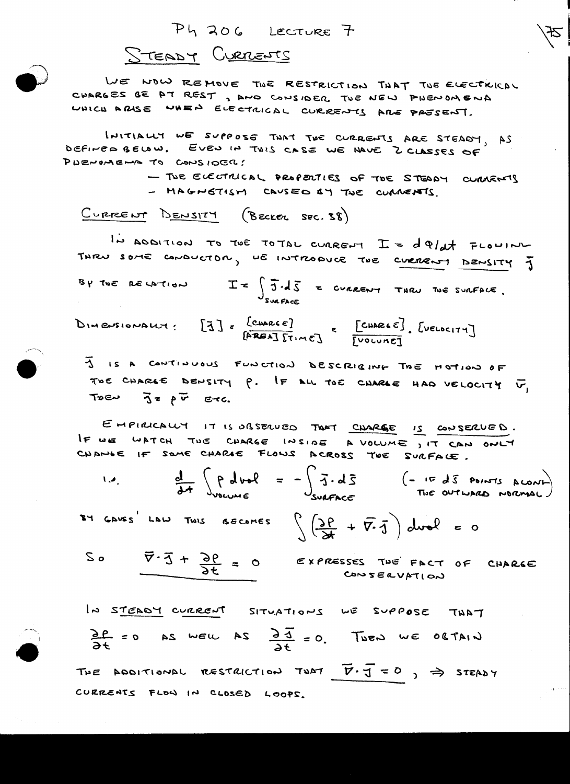# STEADY CURRENTS

WE NOW REMOVE THE RESTRICTION THAT THE ELECTRICAL CHARGES BE AT REST, AND CONSIDER TUE NEW PUENOMENA WAICH ARISE WHEN ELECTRICAL CURRENTS ARE PAESENT.

INITIALLY WE SUPPOSE THAT TWE CURRENTS ARE STEADY, AS DEFIMED BELOW. EVEN IN THIS CASE WE HAVE I CLASSES OF PUENIMENTS TO CONSIDER!

> - THE ELECTRICAL PROPERTIES OF TOE STEADY CURRENTS - MAGNETISM CAUSED AY TWE CUMMENTS.

CURRENT DENSITY (BECKER SEC. 38)

L'a AODITION TO TOE TOTAL CURRENT I= delat FLOWING THRU SOME CONDUCTOR, UE INTRODUCE TOE CURRENT DENSITY  $I = \int \overline{J} \cdot d\overline{S}$  = current THEW THE SURFACE. BY TOE RELATION

DIMENSIONALLY: [J] =  $\frac{[C\text{base}}{[PREA][T\text{time}]} = \frac{[C\text{base}}{[V\text{source}]}$ . [VELOCITY]

J IS A CONTINUOUS FUNCTION DESCRIEING TOE MOTION OF TOE CHARGE DENSITY P. IF ALL TOE CHARGE HAD VELOCITY V, TOEN JE PV ETC.

EMPIRICALLY IT IS OBSERVED TONT CHARGE IS CONSERVED. IF WE WATCH THE CHARGE INSIDE A VOLUME, IT CAN ONLY CHAMBE IF SOME CHARGE FLOWS ACROSS TUE SURFACE.

1.0. 
$$
\frac{d}{dt} \int p \, dvdl = -\int \vec{J} \cdot d\vec{S}
$$
 (- 10 d $\vec{S}$  Poinris about)  
Therefore

BY GAVES LAW TWIS BECOMES

$$
\int \left(\frac{\partial P}{\partial t} + \overline{V} \cdot \overline{J}\right) d\nu d\theta = 0
$$

 $S_o$   $\vec{\nabla} \cdot \vec{J} + \frac{\partial \rho}{\partial t} = 0$ 

IN STEADY CURRENT SITUATIONS WE SUPPOSE THAT  $\frac{\partial P}{\partial t} = 0$  as well As  $\frac{\partial \overline{S}}{\partial t} = 0$ . Twee we obtain THE ADDITIONAL RESTRICTION TUAT  $\overline{V}\cdot\overline{J}=0$ ,  $\Rightarrow$  STEADY

CURRENTS FLOW IN CLOSED LOOPS.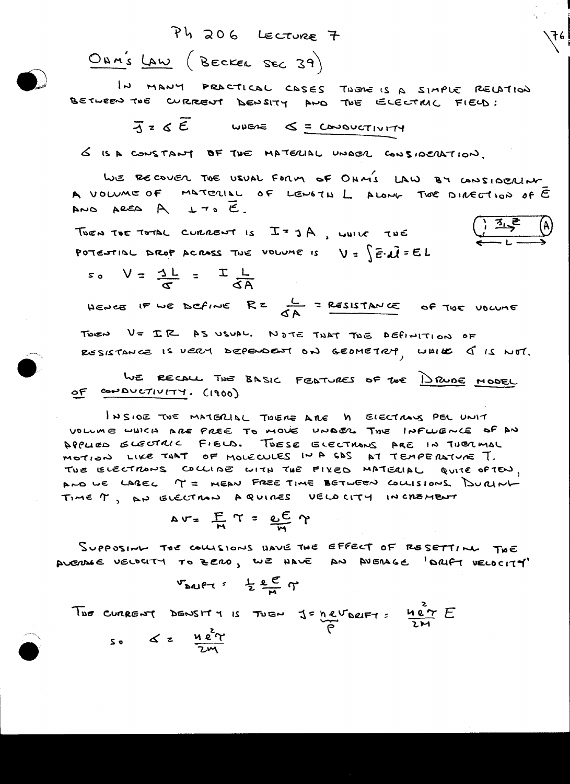ONM's LAW (BECKEL SEC 39)

IN MANY PRACTICAL CASES THERE IS A SIMPLE RELATION BETWEEN THE CURRENT DENSITY AND THE ELECTRIC FIELD:

 $7z < \overline{E}$  where  $6z =$  CONDUCTIVITY

G IS A CONSTANT OF THE MATERIAL UNDER GOUSIOURTION

WE RECOVER THE USUAL FORM OF ONM'S LAW BY CONSIDERING A VOLUME OF MATERIAL OF LEWSTH L ALONG TWE DIRECTION OF E  $\overline{3}$  or  $\overline{4}$   $\overline{4}$  area A

TOEN TOE TOTAL CURRENT IS I= JA, WHILE TIKE POTENTIAL DROP ACRASS TWE VOLUME IS  $V = \int \vec{E} \cdot \vec{J} = E L$ 

 $s \circ V = \frac{11}{\sqrt{6}} = \frac{1}{\sqrt{6}}$ 

HENCE IF WE DEFINE RZ L = RESISTANCE OF THE VOLUME

TOEN V= IR AS USUAL. NOTE THAT TOE DEFINITION OF RESISTANCE IS VERY DEPENDENT ON GEOMETRY WHILE & IS NOT.

WE RECALL THE BASIC FEATURES OF TWE DRUGE MODEL OF CONDUCTIVITY. (1900)

INSIDE TOE MATERIAL TISERE ARE IN ELECTRAYS PER UNIT VOLUME WOICIA ARE FREE TO MOVE UNDER THE INFLUENCE OF AN APPLIED ELECTRIC FIELD. TOESE ELECTRONS ARE IN TUERMAL MOTION LIKE THAT OF MOLECULES IN A GAS AT TEMPERATURE T. THE ELECTRONS COLLIDE WITH THE FIXED MATERIAL QUITE OFTEN, AND WE LABEL ME MEAN FREE TIME BETWEEN COLLISIONS. DURING TIME T, AN ELECTRAN A QUIRES VELOCITY INCREMENT

$$
\Delta V = \frac{F}{M} T = \frac{vF}{M} T
$$

SUPPOSING THE COLLISIONS HAVE THE EFFECT OF RESETTING THE AVERNAE VELOCITY TO ZERO, WE HAVE AN AVERAGE 'DRIFT VELOCITY'

$$
\sigma_{\text{Bulft}} = \frac{1}{2} \sum_{i=1}^{M} d_i
$$

 $s_0$   $\leq z$   $\frac{10^{2}T}{2M}$ 

THE CURRENT DENSITY IS THEN J=MEUDRIFT: 407 E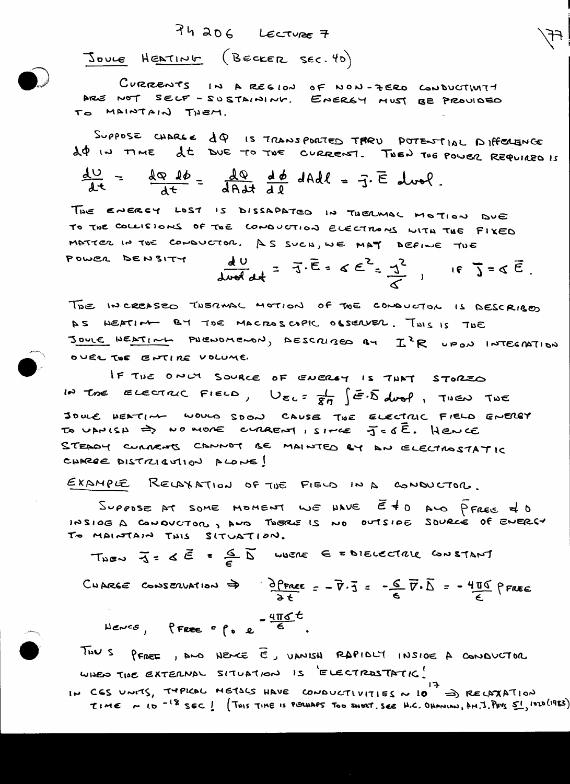### 74206 LECTURE 7

JOULE HEATING (BECKER SEC. 40)

CURRENTS IN A REGION OF NON-ZERO CONDUCTIVITY ARE NOT SELF-SUSTAINING, ENERGY MUST BE PROVIDED TO MAINTAIN THEM.

SUPPOSE CHARGE  $d\varphi$  is TRANSPORTED TRRU POTENTIAL DIFFERIENCE 24 IN TIME 2t DUE TO THE CURRENT. THEN THE POWER REQUIRED IS

$$
\frac{dQ}{dt} = \frac{dQ}{dt} = \frac{dQ}{dAdt} \frac{d\phi}{d\ell} dA dl = \overline{1} \cdot \overline{E} d\omega d.
$$

THE ENERCY LOST IS DISSAPATED IN THERMAL MOTION DUE TO THE COLLISIONS OF THE CONDUCTION ELECTRONS WITH THE FIXED MATTER IN THE CONDUCTOR. AS SUCH, WE MAT DEFINE THE

$$
\frac{dU}{d\omega d} = \overline{3} \cdot \overline{E} = \alpha E^2 = \frac{1}{2} \frac{1}{2}
$$

THE INCREASED THERMAL MOTION OF THE COMAUCTUR IS DESCRIBED AS HEATING BY THE MACROSCOPIC OSSERVER. THIS IS THE JOULE WEATING PUENDMENDY, AESCRIBED BY I R UPON INTEGRATION OUEL TOE GNTINE VOLUME.

IF THE ONLY SOURCE OF ENERGY IS THAT STORED IN TISE ELECTRIC FIELD, UEL = = (E.) duof, TUEN TUE JOULE HEATING WOULD SOON CAUSE THE ELECTRIC FIELD ENERGY TO UAMISH => NO MORE CURRENT I SIME J= 6Ē. HENCE STEADY CURRENTS CANNOT BE MAINTED BY AN ELECTROSTATIC CHARGE DISTRICUTION ALONE!

EXAMPLE RELAXATION OF THE FIELD IN A CONDUCTOR.

SUPPOSE AT SOME MOMENT WE HAVE E+0 ALO PFREE & 0 INSIDE A CONDUCTOR, AND TOBELS NO OUTSIDE SOURCE OF ENERCY TO MAINTAIN THIS SITUATION.

THEN J= < E = < D WORE E = DIELECTALE CONSTANT CUARGE CONSERVATION =>  $\frac{\partial \rho_{\text{Face}}}{\partial x} = -\overline{V} \cdot \overline{J} = -\frac{G}{\epsilon} \overline{V} \cdot \overline{D} = -\frac{4\pi G}{2} \rho_{\text{Face}}$ Hence,  $\int \frac{4\pi C t}{\epsilon}$ .

THE S PERSON A SOLO BOOD ASIGNAL RAPIALY INSIDE A CONDUCTOR WHEN THE EXTERNAL SITUATION IS ELECTROSTATIC!  $17$ 

IN CGS UNITS, TYPICAL METALS HAVE CONDUCTIVITIES N 10 => RELATATION TIME  $\sim$  10<sup>-18</sup> SEC ! (THIS TIME IS PERNAPS TOO SHELT, SEE H.C. OHAMIAN, AM.J. PAYS SI, IDIO (1983)



POWER DENSITY

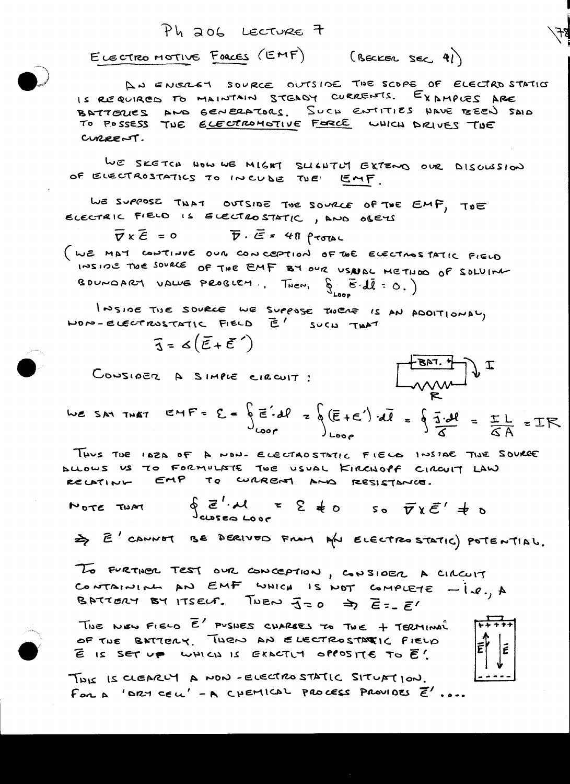ELECTROMOTIVE FORCES (EMF) (BECKER SEC 4)

AN ENERGY SOURCE OUTSIDE THE SCOPE OF ELECTRO STATIC IS REQUIRED TO MAINTAIN STEADY CURRENTS. EXAMPLES ARE BATTELLES AND GENERATORS. SUCH ENTITIES HAVE BEEN SAID TO POSSESS THE ELECTROMOTIVE FORCE WHICH DRIVES THE CURRENT.

WE SKETCH HOW WE MIGHT SLIGHTLY EXTEND OUR DISCUSSION OF ELECTROSTATICS TO INCUDE TUE EMF.

WE SUPPOSE THAT OUTSIDE TWE SOURCE OF TWE EMF, TOE ELECTRIC FIELD IS ELECTROSTATIC, AND OBELS

 $\overline{v} \times \overline{E} = 0$   $\overline{v} \cdot \overline{E} = 40$  Protac

(WE MAT CONTINUE OUR CONCEPTION OF THE ELECTANS TATIC FIELD INSIDE THE SOVELE OF THE EMF BY OUR USAING METHOO OF SOLUING BOUNDARY VALUE PROBLEM, THEN,  $\oint_{Loop} \vec{\epsilon} \cdot d\vec{l} = 0.$ 

INSIDE TISE SOURCE WE SUPPOSE TO CAS IS AN ADOITIONAL, WOM-ELECTRUSTATIC FIELD E' SUCH THAT

 $\overline{3} = \Delta (\overline{E} + \overline{E}^{\prime})$ 

CONSIDER A SIMPLE CIRCUIT :

 $L_{\text{BPI}}$  +  $L$ 

WE SAI THET EMP=  $\Sigma = \int_{\omega_0}^{\infty} \vec{\epsilon} \cdot d\theta = \int_{\omega_0}^{\infty} (\vec{\epsilon} + \vec{\epsilon}') d\vec{l} = \int_{\omega_0}^{\infty} \frac{1}{\delta} d\vec{l} = \frac{\pi L}{\delta A} = \mathbb{I}R$ 

THUS THE ISSA OF A WON- ELECTADSTATIC FIELD INSTAR THE SOURCE ALLOWS US TO FORMULATE TWE USUAL KIRCHOFF CIRCUIT LAW RELATING EMP TO WARENT AND RESISTANCE.

 $\oint \vec{\epsilon}^{l}$  and  $\epsilon \quad \xi \neq 0$  so  $\vec{\tau} \times \vec{\epsilon}' \neq 0$ NOTE TISAT

 $\Rightarrow$   $\tilde{E}$  cannot BE DERIVED FRAM AN ELECTRO STATIC) POTENTIAL.

To FURTINER TEST OUR CONCEPTION, GNSIDER A CIRCUIT CONTAINING AN EMF WHICH IS NOT COMPLETE - I.P., A BATTERY BY ITSELF. TWEN  $\vec{J} = 0$   $\Rightarrow$   $\vec{E} = \vec{E}'$ 

THE NEW FIELD E' PUSHES CHARGES TO THE + TERMINAL OF THE BATTERY. THEN AN ELECTROSTATIC FIELD IS SET UP WHICH IS EXACTLY OPPOSITE TO E!





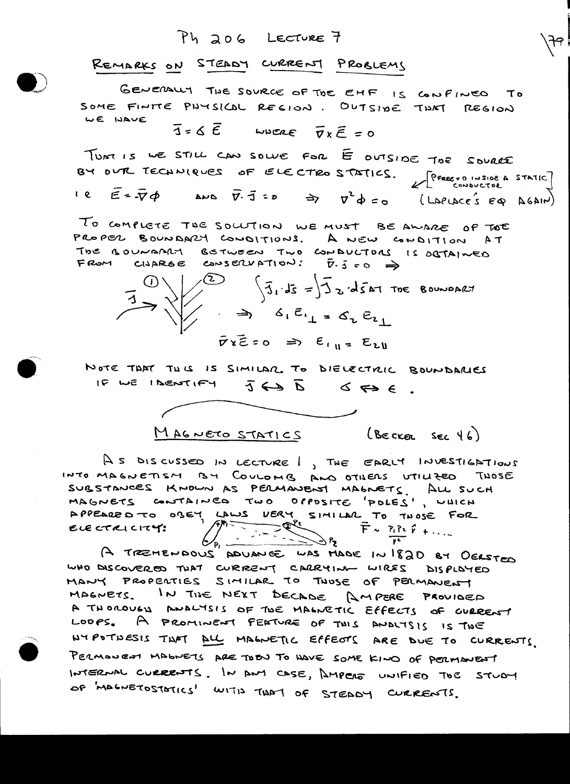REMARKS ON STEADY CURRENT PROBLEMS

GENERALLY THE SOURCE OF THE EMF IS CONFINED TO SOME FINITE PINYSICOL REGION. OUTSIDE TINT REGION WE NAVE

 $\overline{3} = 6\overline{6}$  where  $\overline{v} \times \overline{E} = 0$ 

TURTIS WE STILL CAN SOLVE FOR E OUTSIDE TOE SOUREE BY OUR TECHNIQUES OF ELECTRO STATICS. PFREE = 0 INSIDE A STATIC CONDUCTOR  $1 e$   $\vec{E} = \vec{v} \phi$  and  $\vec{v} \cdot \vec{J} = 0$   $\Rightarrow v^2 \phi = 0$  (LAPUDCE'S EQ AGAIN)

To complete THE SOLUTION WE MUST BE AWARE OF THE PROPEL BOUNDARY CONDITIONS. A NEW GUBITION AT THE BOUNGARY BETWEEN TWO CONDUCTORS IS DETAINED FROM CHARGE CONSERVATION:  $\bar{v}$ .  $\bar{j} = 0$   $\Rightarrow$ 



NOTE THAT THIS IS SIMILAR TO DIELECTRIC BOUNDARIES IF WE INENTIFY  $\overline{j} \leftrightarrow \overline{D}$   $\acute{G} \leftrightarrow \acute{F}$ .

$$
\overbrace{\hspace{4.3cm}}
$$

MAGNETO STATICS (BECKER SEC 46)

AS DISCUSSED IN LECTURE I, THE EARLY INVESTIGATIONS INTO MAGNETISM BY COULOMB AND OTHERS UTILIZED THOSE SUBSTANCES KNOWN AS PERMANENT MAGNETS ALL SUCH MAGNETS CONTAINED TWO OPPOSITE 'POLES', WHICH APPEARED TO OBEY LAWS VERY SIMILAR TO THOSE FOR  $\vec{F}$   $\sim$   $R_{1}R_{2}P_{3} + \ldots$ ELECTRICITY:  $\sum$  $\sum$  $\sum$   $P_2$ 

A TREMEMONDO COMME WAS MADE IN 1820 BY OGRSTED WHO DISCOVERED TUAT CURRENT CARRYING WIRES DISPLAYED MANY PROPERTIES SIMILAR TO THUSE OF PERMANENT MAGNETS. IN THE NEXT DECADE AMPERE PROVIDED A THOROUGH AWALYSIS OF TWE MAGNETIC EFFECTS OF CURRENT LODPS. A PROMINENT FERTURE OF THIS ANDLTSIS IS THE WY POTICESIS TINT ALL MAGNETIC EFFEOTS ARE DUE TO CURRENTS. PERMONET MAGNETS ARE TOEN TO HAVE SOME KIND OF PERMONENT INTERNAL CURRENTS. IN ANY CASE, AMPERS UNIFIED TOE STUDY OF MALUETOSTATICS' WITIS THAT OF STEADY CURRENTS.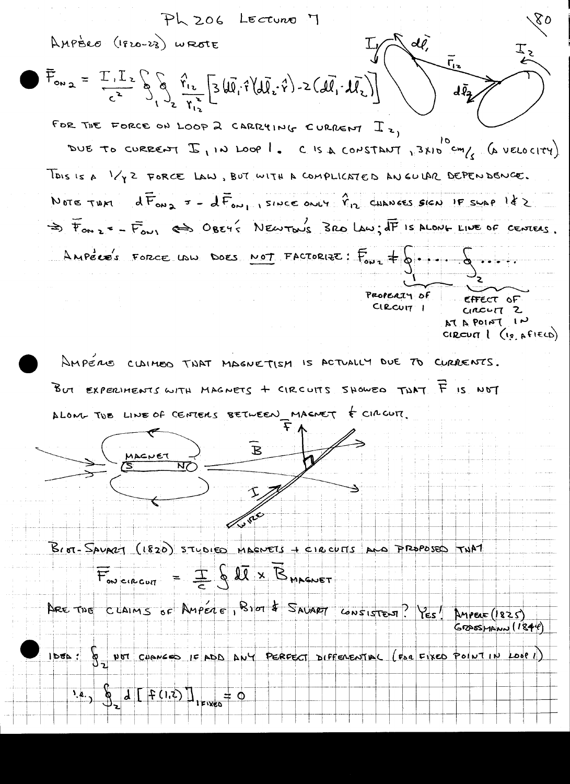Ph 206 LECTURE 7 AMPSEO (1820-23) WROTE  $d\tilde{\ell}$  $\overline{F}_{\text{on }2} = \frac{T_{1}T_{2}}{c^{2}} \int_{0}^{c} \int_{-\infty}^{\infty} \frac{\hat{r}_{12}}{x^{2}} \left[3 \mu \vec{l}_{1} \cdot \hat{r} \cdot d\vec{l}_{2} \cdot \hat{r}\right] - 2 \left(d\vec{l}_{1} \cdot d\vec{l}_{2}\right)$  $d\bar{\mathbf{V}}$ FOR THE FORCE ON LOOP 2 CARRYING CURRENT IZ, DUE TO CURRENT I IN LOOP 1. C IS A CONSTANT, 3XID CM/ (A VELOCITY) TOIS IS A 1/Y2 FORCE LAW, BUT WITH A COMPLICATED AN GULAR DEPENDENCE. NOTE TUM  $d\vec{F}_{on_2} = d\vec{F}_{on_1-1}$  since only  $\hat{r}_{12}$  curness sign if supp  $182$ 5 Fonz = - Four SE4's NEWTOUS SRO LAW; OF IS ALONG LINE OF CENTERS AMPECO'S FORCE LOW DOES NOT FACTORIZE: FOUT # 0 PROPERTY OF **FFECT OF** CIRCUIT I  $cn$ curcurt  $2$  $M$  ) Talog A TA CIRCUM 1 (10 AFIELD) AMPERE CLAIMED TUAT MAGNETISM IS ACTUALLY DUE TO CURRENTS. BUT EXPERIMENTS WITH MAGNETS + CIRCUITS SHOWED TUAT F IS NOT ALOME TUB LINE OF CENTERS BETWEEN MACNET & CIRCUIT.  $\mathbb B$ BIOT-SAUACT (1820) STUDIED MAGNETS + CIRCUITS AND PROPOSED TUNT  $F_{\infty}$  circuit =  $\pm \oint Q \overline{X} \times B$  MAGNET ARE THE CUAIMS OF AMPERE, BIOT & SAVARY GNSISTERS?  $\lambda_{\mathsf{es}}$  $MPERE(I825)$  $G$ ross $|MNN|$  (1844) 1004: 8 NOT CHANGES IF ADD ANY PERFECT DIFFERENTIAL (FOR FIXED POINT IN LOOP)  $\oint d \left[ f(1, \zeta) \right]_{1 \in x \in \Omega} = 0$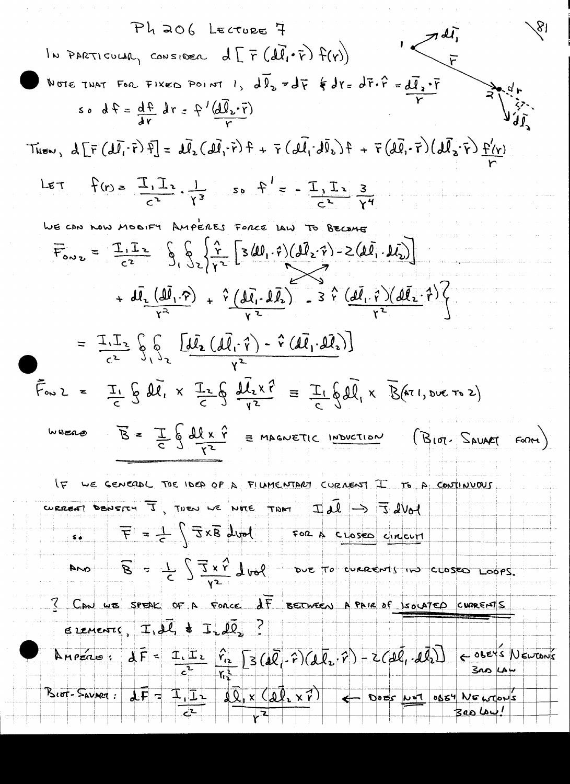P<sub>1</sub> a 06. Lercose 7  
\n10. PART could, consider a 
$$
\frac{1}{2}F(\vec{A}\vec{A}_{1}+\vec{r})f(r)
$$
  
\n11. PART could, consider a  $\vec{A}[\vec{r}(\vec{A}\vec{A}_{1}+\vec{r})f(\vec{r})]$   
\n12. P  
\n13. PART could be considered:  $\vec{A}[\vec{r}(\vec{A}\vec{A}_{1}+\vec{r})f(\vec{A}\vec{A}_{2}+\vec{r})f(\vec{A}\vec{A}_{2}+\vec{r})f(\vec{A}\vec{A}_{2}+\vec{r})f(\vec{A}\vec{A}_{2}+\vec{r})f(\vec{A}\vec{A}_{2}+\vec{r})f(\vec{A}\vec{A}_{2}+\vec{r})f(\vec{A}\vec{A}_{2}+\vec{r})f(\vec{A}\vec{A}_{2}+\vec{r})f(\vec{A}\vec{A}_{2}+\vec{r})f(\vec{A}\vec{A}_{2}+\vec{r})f(\vec{A}\vec{A}_{2}+\vec{r})f(\vec{A}\vec{A}_{2}+\vec{r})f(\vec{A}\vec{A}_{2}+\vec{r})f(\vec{A}\vec{A}_{2}+\vec{r})f(\vec{A}\vec{A}_{2}+\vec{r})f(\vec{A}\vec{A}_{2}+\vec{r})f(\vec{A}\vec{A}_{2}+\vec{r})f(\vec{A}\vec{A}_{2}+\vec{r})f(\vec{A}\vec{A}_{2}+\vec{r})f(\vec{A}\vec{A}_{2}+\vec{r})f(\vec{A}\vec{A}_{2}+\vec{r})f(\vec{A}\vec{A}_{2}+\vec{r})f(\vec{A}\vec{A}_{2}+\vec{r})f(\vec{A}\vec{A}_{2}+\vec{r})f(\vec{A}\vec{A}_{2}+\vec{r})f(\vec{A}\vec{A}_{2}+\vec{r})f(\vec{A}\vec{A}_{2}+\vec{r})f(\vec{A}\vec{A}_{2}+\vec{r})f(\vec{A}\vec{A}_{2}+\vec{r})f(\vec{A}\vec{A}_{2}+\vec{r})f(\vec{A}\vec{A}_{2}+\vec{r})f(\vec{A}\vec{A}_{2}+\vec{r})f(\vec{A}\vec{A}_{2}+\vec{r})f(\vec{A}\vec{A}_{2}+\vec{r})f(\vec{A}\vec{A}_{2}+\vec{r})f(\vec{A}\vec{A}_{2}$ 

 $\bar{\gamma}$  $\hat{\mathcal{A}}$ 

> $\ddot{\phantom{0}}$  $\frac{1}{2}$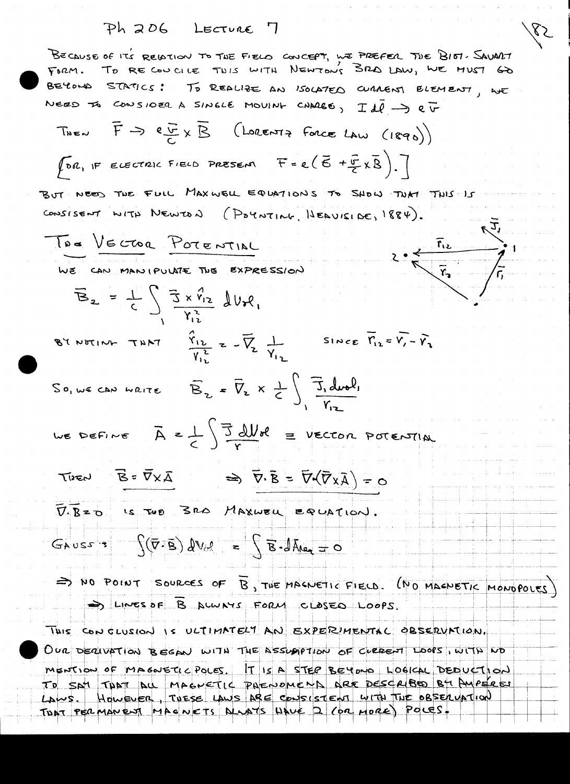| Ph 206 LECTURE 7                                                                                                                                                                    |
|-------------------------------------------------------------------------------------------------------------------------------------------------------------------------------------|
| BECAUSE OF IT'S RELATION TO THE FIELD CONCEPT, WE PREFER THE BIET- SAVART<br>BEYOND STATICS: TO REALIZE AN ISOLATED CUMAENT ELEMENT, NUE                                            |
| NEED TO CONSIDER A SINGLE MOVINH CHARGE, $\overline{I} d\overline{\ell} \rightarrow e\overline{v}$                                                                                  |
| THEN $\overline{F} \rightarrow e\overline{C} \times \overline{B}$ (LORENTA FORCE LAW (1890))                                                                                        |
| $\int$ DR, IF ELECTRIC FIELD PRESEN $F = e(\vec{E} + \frac{\vec{v}}{C} \times \vec{B})$ .                                                                                           |
| BUT NEED THE FULL MAXWELL EQUATIONS TO SHOW THAT THIS IS                                                                                                                            |
| CONSISENT WITH NEWTON (POYNTING, HEAVISIDE, 1884).                                                                                                                                  |
| Too VECTOR POTENTIAL<br>$2.5$ $\frac{F_{12}}{F_{2}}$ $\frac{1}{F_{1}}$                                                                                                              |
| WE CAN MANIPULATE THE EXPRESSION                                                                                                                                                    |
| $\overrightarrow{B}_{2} = \frac{1}{c} \int \frac{\overrightarrow{3} \times \overrightarrow{r}_{12}}{\overrightarrow{12}} dV_{r}P_{1}$                                               |
| BY NOTING TANT $\frac{\hat{Y}_{12}}{V_1^2} = -\overline{V_2} + \frac{1}{V_{12}}$ Since $\overline{Y}_{12} = \overline{Y_1} - \overline{Y_2}$                                        |
| So, we can write $\overline{B}_z = \overline{V}_z \times \frac{1}{c} \int \overline{J}_1 d\omega d\omega$                                                                           |
| WE DEFINE $\bar{A} = \frac{1}{C} \int \frac{\vec{J} dM}{r} dR$ = VECTOR POTENTIAL                                                                                                   |
| $\Rightarrow \overline{\nabla} \cdot \overline{B} = \overline{\nabla} \cdot (\overline{\nabla} \times \overline{A}) = 0$<br>TIVEN $\overline{B} = \overline{V} \times \overline{A}$ |
| V. BZD IS TUD 3RD MAXWELL EQUATION.                                                                                                                                                 |
| $G_{AUSS}$ : $\int (\overline{v} \cdot \overline{B}) dV_{A}$ = $\int \overline{B} \cdot dA_{A2} = 0$                                                                                |
| $\Rightarrow$ NO POINT SOURCES OF $\overline{B}$ , THE MACHETIC FIELD. (NO MACHETIC MONOPOLES)                                                                                      |
| => LINESDE B ALWAYS FORM CLOSED LOOPS.                                                                                                                                              |
| THIS CONCLUSION IS ULTIMATELY AN EXPERIMENTAL OBSERVATION.                                                                                                                          |
| OUR DERIVATION BEGAN WITH THE ASSUPPTION OF CLERENT LOOKS, WITH NO                                                                                                                  |
| MENTION OF MAGNETIC POLES. IT IS A STEP BEYOND LOGICAL DEDUCTION<br>TO 5AM TANT ALL MAGNETIC PAENOMENA ARE DESCRIBED BY AMPERED                                                     |
| LAWS. However, These LAWS ARE CONSISTENT WITH THE OBSERVATION                                                                                                                       |
| TONT PERMANEUT MAGNETS NUATS UNK D (OR MORE) POLES.                                                                                                                                 |

 $\mathcal{A}^{\mathcal{A}}$  is a subset of the set of  $\mathcal{A}^{\mathcal{A}}$  ,  $\mathcal{A}^{\mathcal{A}}$ 

 $\mathcal{A}(\mathbf{a})$  and  $\mathcal{A}(\mathbf{a})$  and  $\mathcal{A}(\mathbf{a})$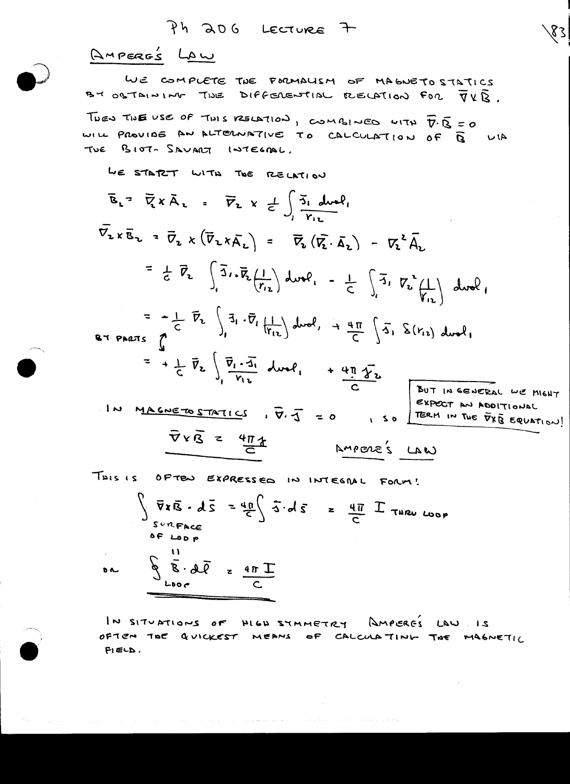AMPERG'S LAW

WE COMPLETE THE FORMALISM OF MAGNETO STATICS BY OSTAINING TIVE DIFFERENTIAL RELATION FOR TVR. THEN THE USE OF THIS RELATION, COMBINED WITH  $\overline{\nu}$ . Q = 0 WILL PROVIDE AN ALTERNATIVE TO CALCULATION OF B  $41U$ TUE BIOT- SAVART INTECTAL.

83

WE STATCT WITH THE RELATION

$$
\overline{B}_{L} = \overline{V}_{L} \times \overline{A}_{L} = \overline{V}_{L} \times \frac{1}{C} \int_{1}^{\frac{\pi}{2}} \frac{J_{1} \text{d}u}{r_{1}r_{2}} \frac{d\overline{r}_{2}}{r_{1}r_{2}} \frac{d\overline{r}_{2}}{r_{2}r_{2}r_{2}} = \overline{V}_{L} (\overline{V}_{L} \cdot \overline{A}_{L}) - V_{L}^{2} \overline{A}_{L} \frac{d\overline{r}_{2}}{r_{2}r_{2}r_{2}} = \frac{1}{C} \overline{V}_{L} (\overline{V}_{L} \cdot \overline{A}_{L}) - V_{L}^{2} \overline{A}_{L} \frac{d\overline{r}_{2}}{r_{2}r_{2}} \frac{d\overline{r}_{2}}{r_{2}r_{2}r_{2}r_{2}} = \frac{1}{C} \overline{V}_{L} \int_{1}^{\frac{\pi}{2}} J_{1} \cdot \overline{V}_{L} (\frac{1}{r_{12}}) d\nu v f_{1} - \frac{1}{C} \int_{1}^{\frac{\pi}{2}} J_{1} \nabla_{L}^{2} (\frac{1}{r_{12}}) d\nu v f_{1} \frac{d\overline{r}_{2}}{r_{2}r_{2}} \frac{d\overline{r}_{2}}{r_{2}r_{2}r_{2}} \frac{d\overline{r}_{2}}{r_{2}r_{2}r_{2}} = + \frac{1}{C} \overline{V}_{L} \int_{1}^{\frac{\pi}{2}} \frac{\overline{V}_{L} \cdot \overline{V}_{L}}{r_{12}} d\nu v f_{1} + \frac{4 \pi \overline{V}_{L}}{C} \frac{\overline{E}_{L} \cdot \overline{E}_{L} \cdot \overline{E}_{L} \cdot \overline{E}_{L} \frac{d\overline{r}_{L}}{r_{2}r_{2}r_{2}} \frac{d\overline{r}_{L}}{r_{2}r_{2}r_{2}} \frac{d\overline{r}_{L}}{r_{2}r_{2}r_{2}} \frac{d\overline{r}_{L}}{r_{2}r_{2}r_{2}} \frac{d\overline{r}_{L}}{r_{2}r_{2}r_{2}} \frac{d\overline{r}_{L}}{r_{2}r_{2}r_{2}} \frac{d\overline
$$

THIS IS OFTEN EXPRESSED IN INTEGRAL FORM!

$$
\sqrt{7x\overline{6}} \cdot d\overline{5} = \frac{4\overline{0}}{5} \cdot d\overline{5} = \frac{4\overline{0}}{5} \cdot d\overline{5} = \frac{4\overline{0}}{5} \pm \frac{4\overline{0}}{5}
$$
\n
$$
\sqrt{2x\overline{6} \cdot d\overline{5}} = \frac{4\overline{0}}{5} \cdot d\overline{5} = \frac{4\overline{0}}{5} \pm \frac{4\overline{0}}{5}
$$

IN SITUATIONS OF HIGH STAMETRY AMPERE'S LAW IS OFTEN TOE QUICKEST MEANS OF CALCULATING TOE MAGNETIC  $P$  $ELD$ .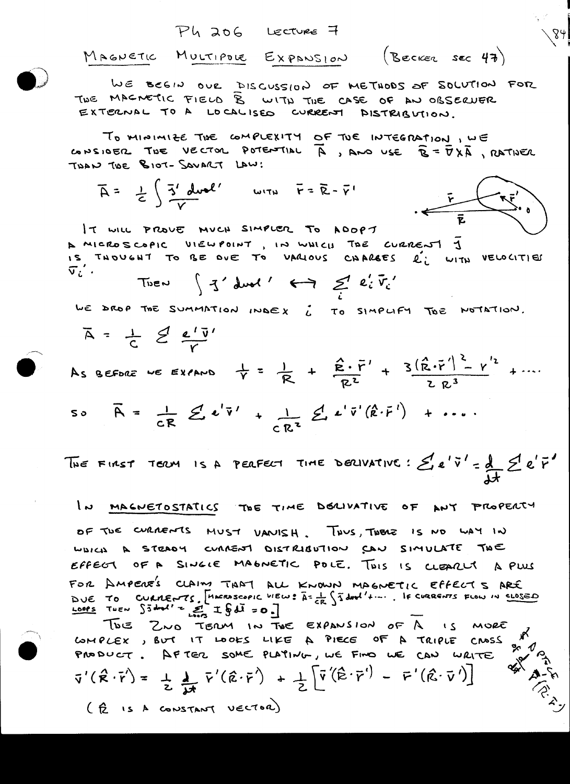# MAGNETIC MULTIPOLE EXPANSION (BECKER SEC 47)

WE BEGIN OUR DISCUSSION OF METHODS OF SOLUTION FOR TWE MACNETIC FIELD  $\overline{B}$  with the CASE OF AN OBSERVER EXTERNAL TO A LOCALISED CURRENT DISTRIBUTION.

To MINIMIZE THE COMPLEXITY OF TUE INTEGRATION, WE CONSIDER THE VECTOR POTENTIAL A, AND USE  $\bar{R} = \bar{\nabla}\times\bar{A}$ , RATHER : WAL TURE STOIS - TOING

$$
\overline{A} = \frac{1}{C} \int \frac{\overline{3}^{\prime} d\omega b^{\prime}}{\gamma} \omega_{1T\mu} \overline{r} = \overline{R} - \overline{v}^{\prime}
$$

IT WILL PROVE MUCH SIMPLER TO ADOPT A MICROSCOPIC VIEWPOINT, IN WHICH THE CURRENT J IS THOUGHT TO BE OVE TO VARIOUS CHARGES & WITH VELOCITIES  $\sigma_i$  .

$$
\text{The } \sim \int \text{d}^{\prime} \text{d} \text{ and } \sim \text{d} \text{ and } \text{e}' \text{ if } \text{e}' \text{ if } \text{e}'
$$

WE DROP THE SUMMATION INDEX I TO SIMPLIFY TOE NOTATION.

$$
\overline{A} = \frac{1}{C} \sum \frac{e^{i} \overline{v}^{i}}{r}
$$

As BEFORE WE EXPAND  $\frac{1}{V} = \frac{1}{R} + \frac{\hat{R} \cdot \bar{r}'}{R^2} + \frac{3(\hat{R} \cdot \bar{r}')^2 - r'^2}{2 \cdot 3} + \cdots$ 

So  $\overline{A} = \frac{1}{cR} \leq e^{i\overline{v}'} + \frac{1}{cR^2} \leq e^{i\overline{v}'}(\hat{R}\cdot\overline{r}') + \cdots$ 

THE FIRST TERM IS A PERFECT TIME DERIVATIVE :  $\leq e' \overline{v}' = \frac{1}{1+} \leq e' \overline{r}'$ 

IN MAGNETOSTATICS TOE TIME DELIVATIVE OF ANY PROPERTY OF THE CURREMES MUST VANISH. TWUS, THERE IS NO WAY IN WOICH A STEADY CURRENT DISTRIBUTION CAN SIMULATE TWE EFFECT OF A SINGLE MAGNETIC POLE. TOIS IS CLEARLY A PLUS FOR AMPERE'S CLAIM THAT ALL KNOWN MAGNETIC EFFECTS ARE DUE TO CURRENTS, MARASCOPIC MEWS 2 = 1 5 June 1-10 GNETIC EFFECT 5 ART

TDE ZNO TERM IN THE EXPANSION OF A IS MORE ิ์ WHPLEX, BUT IT LOOKS LIKE A PIECE OF A TRIPLE CAOSS  $\infty$   $\mathcal{O}$ PRODUCT. AFTER SOME PLAYING, WE FIND WE CAN WRITE A-RAY  $\bar{v}'(\hat{\kappa}\cdot\bar{r}') = \frac{1}{2} \frac{1}{2\pi} \bar{r}'(\hat{\kappa}\cdot\bar{r}') + \frac{1}{2} \left[\bar{v}'(\hat{\kappa}\cdot\bar{r}') - \bar{r}'(\hat{\kappa}\cdot\bar{v}')\right]$ (2 IS A CONSTANT VECTOR)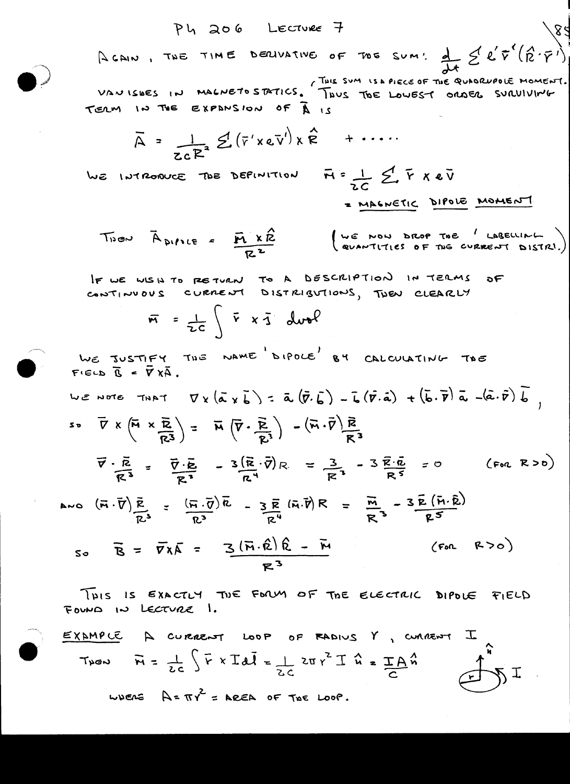A CAIN, THE TIME DERIVATIVE OF TOE SUM!  $\frac{d}{dt} \leq e^{\frac{r}{2} \sqrt{R} \cdot \frac{r}{R} \cdot \frac{r}{2}}$ 

THE SUM ISA PIECE OF THE QUAGRUPOLE MOMENT.<br>VAN ISBES IN MALMETO STATICS. THUS TOE LOWES TO ORDER SURVIVING TERM IN THE EXPANSION OF A IS

$$
\overline{A} = \frac{1}{z c R^{2}} \sum (\overline{v}' x e \overline{v}') x R^{2} + \cdots
$$

WE INTRODUCE THE DEPINITION FI= 1 5 F X e V = MACNETIC DIPOLE MOMENT

(WE NOW DROP THE 'LABELLING THEY ADIPLE = MXR

IF WE WISH TO RETURN TO A DESCRIPTION IN TERMS OF CONTINUOUS CURRENT DISTRIBUTIONS, TUEN CLEARLY

$$
\overline{m} = \frac{1}{2c} \int \overline{v} \times \overline{1} \quad \text{d}v \cdot \overline{v}
$$

WE JUSTIFY THE NAME DIPOLE BY CALCULATING THE  $F(C \cup D \overline{R} = \overline{V} \times \overline{A})$ WE NOTE THAT  $\nabla \times (\vec{a} \times \vec{b}) = \vec{a} \cdot (\vec{v} \cdot \vec{a}) - \vec{b} \cdot (\vec{v} \cdot \vec{a}) + (\vec{b} \cdot \vec{v}) \vec{a} - (\vec{a} \cdot \vec{v}) \vec{b}$  $\overline{B}(\overline{y}, \overline{w}) = \left(\frac{\overline{B}}{rg}, \overline{v}\right) = \overline{w}(\overline{y}, \frac{\overline{B}}{rg}) = \overline{v}(\overline{w}, \overline{w})$  $\vec{\nabla} \cdot \vec{R}$  =  $\vec{\nabla} \cdot \vec{R}$  =  $3(\vec{R} \cdot \vec{\nabla})R$  =  $\frac{3}{R^3}$  =  $3\vec{R} \cdot \vec{R}$  = 0  $($ For R > 0) AND  $(\vec{n} \cdot \vec{v}) \frac{\vec{R}}{R^3} = \frac{(\vec{n} \cdot \vec{v}) \vec{R}}{R^3} - \frac{3 \vec{R}}{R^4} (\vec{n} \cdot \vec{v}) R = \frac{\vec{M}}{R^3} - \frac{3 \vec{R} (\vec{n} \cdot \vec{R})}{R^5}$ So  $\bar{B} = \bar{v}x\bar{A} = \frac{3(\bar{m}\cdot\hat{R})\hat{R} - \bar{m}}{2}$  $(For R>0)$ 

THIS IS EXACTLY THE FORM OF THE ELECTRIC DIPOLE FIELD FOUND IN LECTURE 1.

EXAMPLE A CURRENT LOOP OF RADIUS Y, WARNT I Tres  $\overline{n} = \frac{1}{2c} \int \overline{r} \times T d\overline{l} = \frac{1}{2c} \operatorname{tr} r^2 T \hat{u} = \frac{T A \hat{u}}{c}$ WHERE  $A = \pi r^2$  = AREA OF THE LOOP.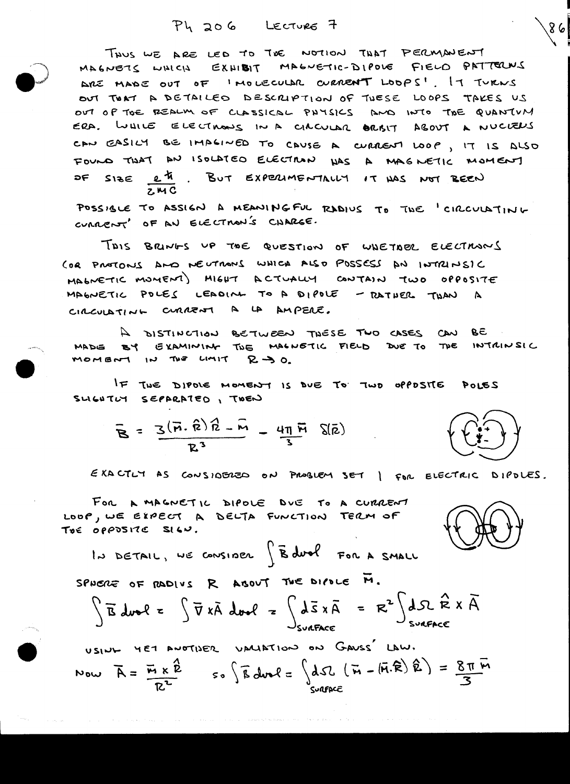THUS WE ARE LED TO THE NOTION THAT PERMANENT MAGNETS WHICH EXHIBIT MAGNETIC-DIPOVE FIELD PATTERNS ARE MADE OUT OF I MOLECULAR CURRENT LOOPS' IT TURNS OUT TONT A DETAILED DESCRIPTION OF TUESE LOOPS TAKES US OUT OP TOE REALM OF CLASSICAL PHYSICS AND INTO TOE QUANTUM ERA. WHILE ELECTRONS IN A CIRCULAR BRISIT ABOUT A NUCLEUS CAN EASILY BE IMALINED TO CAUSE A CURRENT LOOP, IT IS ALSO FOULD TIST AN ISOLATED ELECTRON HAS A MAGNETIC MOMENT SIZE et . BUT EXPERIMENTALLY IT HAS NOT BEEN ວ౯

POSSIBLE TO ASSIGN A MEANINGFUL RADIUS TO THE CIRCULATING CURRENT' OF AN ELECTRON'S CHARGE.

TDIS BRINGS UP TOE QUESTION OF WHETAER ELECTRONS GR PROTONI AMO NEUTRONI WHICH ALSO POSSESS AN INTRINSIC MAGNETIC MOMENT) MIGHT ACTUALLY CONTAIN TWO OPPOSITE MAGNETIC POLES LEADING A DIPOLE - RATHER THAN A CIRCULATING CURRENT A LA AMPERE.

 $\approx$  38  $\omega$  2324) BETWEEN THESE TWO CASES CAN BE MADE BY EXAMINING TUE MACHETIC FIELD DUE TO THE INTRINSIC MOMENT IN THE LIMIT R -30.

IF THE DIPOLE MOMENT IS DUE TO TWO OPPOSITE POLES SLIGHTLY SEPARATED, TWEN

$$
\vec{B} = \frac{3(\vec{n} \cdot \hat{R})\hat{R} - \vec{M}}{R^3} - \frac{4\pi \vec{M}}{3} \quad \text{(R)}
$$

EXACTLY AS CONSIDERED ON PROBLEM SET | FOR ELECTRIC DIPOLES.

FOR A MAGNETIC DIPOLE DVE TO A CURRENT LOOP, WE EXPECT A DELTA FUNCTION TERM OF TOE OPPOSITE SILW.



IN DETAIL, WE CONSIDER  $\int \mathbf{\tilde{B}} d\mathbf{v} \cdot d\mathbf{l}$  FOR A SMALL

SPUERE OF RADIVS R ABOUT THE DIPOLE M.

$$
\int \overline{B} \text{dvol } z \int \overline{\nabla} x \overline{A} \text{dvol } z \int d\overline{s} x \overline{A} = R^2 \int d\Omega \overline{R} x \overline{A}
$$

USING YET ANOTISER VALIATION ON GAUSS'LAW. Now  $\bar{A} = \frac{\bar{m} \times \hat{R}}{R^2}$  so  $\bar{B}$  durch =  $\int dS$   $(\bar{m} - \bar{m}\cdot\hat{R}) \hat{R}$  =  $\frac{8\pi \bar{m}}{3}$   $86$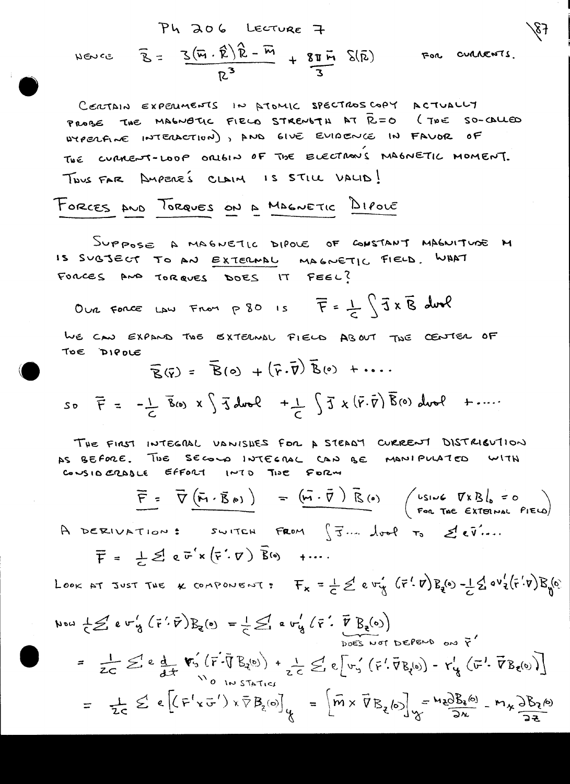NEVICE  $\bar{R} = \frac{3(\bar{w} \cdot \hat{R})\hat{R} - \bar{w}}{2^3} + \frac{8\bar{w} \cdot \bar{w}}{3}$ FOR CURRENTS.

CERTAIN EXPERIMENTS IN ATOMIC SPECTROSCOPY ACTUALLY PROBE THE MAGNETIC FIELD STRENGTH AT R=0 (THE SO-CALLED WIPERFINE INTERACTION), AND GIVE EVIDENCE IN FAUOR OF THE CURRENT-LOOP ORLEIN OF THE ELECTRONS MAGNETIC MOMENT. TWUS FAR AMPERE'S CLAIM IS STILL VALID!

FORCES AND TORQUES ON A MAGNETIC BIPOLE

SUPPOSE A MAGNETIC DIPOLE OF CONSTANT MAGNITUDE M IS SUBJECT TO AN EXTERNAL MAGNETIC FIELD. WHAT FORCES AND TORQUES DOES IT FEEL?

Our Fonce LAW From p 80 15  $\overline{F} = \frac{1}{2} \sqrt{3} \times \overline{B}$  above WE CAN EXPAND TWE EXTERNAL FIELD ABOUT THE CENTER OF TOE DIPOLE

$$
\overline{B}(\overline{Y}) = \overline{B}(\overline{O}) + (\overline{Y} \cdot \overline{V}) \overline{B}(\overline{O}) + \cdots
$$

 $so \quad \overline{F} = -\frac{1}{C} \overline{B} \omega x \int \overline{A} d\omega d \quad + \frac{1}{C} \int \overline{A} x (\overline{r} \cdot \overline{r}) \overline{B} \omega d \omega d \quad + \cdots$ 

THE FIRST INTEGRAL VANISHES FOR A STEADY CURRENT DISTRIBUTION AS BEFORE. THE SECOLO INTECTAL CAN BE MANIPULATED WITH CONSIDERABLE EFFORT INTO TWE FORM

 $\overline{F} = \overline{V}(\overline{n} \cdot \overline{B} \cdot e)$  =  $(\overline{n} \cdot \overline{V}) \overline{B} (\cdot)$  (using  $VxB|_{0} = 0$ <br>For the EXTEINAL FIELD) A DERIVATION: SWITCH FROM (F. Lool To Sevin.  $\overline{F} = \pm \mathcal{L} e^{\overline{u}'} \times (\overline{r}' \cdot \overline{v}) \overline{B} \omega + \cdots$ 

Look AT JUST THE K COMPONENT:  $F_x = \frac{1}{C} \leq e v_x \sqrt{(r \cdot v)} g_e(s) - \frac{1}{C} \frac{d}{s} \sqrt{v'_e(r \cdot v)} g_e(s)$ 

Now 
$$
\frac{1}{2} \leq e \int_{0}^{1} (\vec{r} \cdot \vec{r}) B_{g}(0) = \frac{1}{2} \leq e \int_{0}^{1} (\vec{r} \cdot \vec{r}) B_{g}(0)
$$
  
\n
$$
= \frac{1}{2C} \leq e \frac{d}{dt} \mathbf{V}_{g}(\vec{r} \cdot \vec{r}) B_{g}(0) + \frac{1}{2C} \leq e \left[ \int_{0}^{1} (\vec{r} \cdot \vec{r}) B_{g}(0) \right] - \int_{0}^{1} (\vec{r} \cdot \vec{r}) B_{g}(0) \Big]
$$
\n
$$
= \frac{1}{2C} \leq e \frac{d}{dt} \mathbf{V}_{g}(\vec{r} \cdot \vec{r}) B_{g}(0) + \frac{1}{2C} \leq e \left[ \int_{0}^{1} (\vec{r} \cdot \vec{r}) B_{g}(0) \right] - \int_{0}^{1} (\vec{r} \cdot \vec{r}) B_{g}(0) \Big]
$$
\n
$$
= \frac{1}{2C} \leq e \left[ (\Gamma^{1} \times \vec{r} \cdot \vec{r}) \times \vec{r} B_{g}(0) \right]_{0} = \left[ \vec{m} \times \vec{r} B_{g}(0) \right]_{0} = \frac{4e^{\frac{1}{2} \cdot \vec{r}}}{2\pi} - \frac{4e^{\frac{1}{2} \cdot \vec{r}}}{2\pi}
$$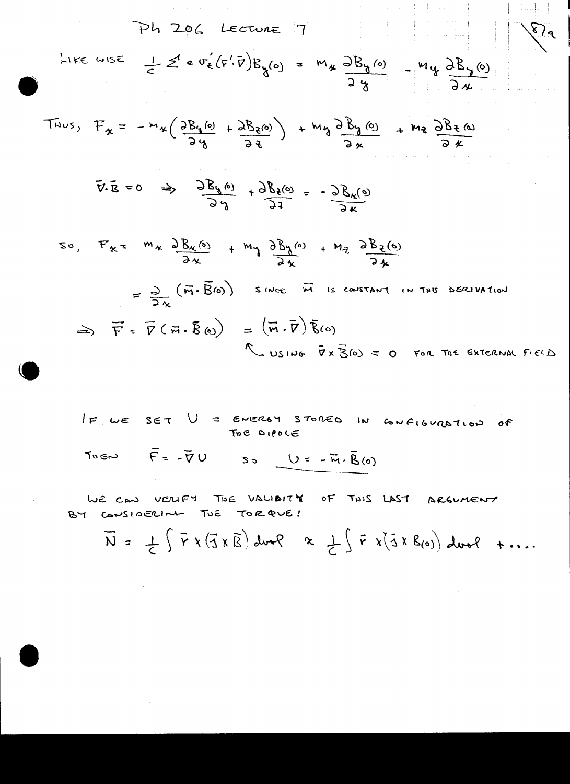20. 
$$
Fx = mx \frac{3Bx(0)}{3x} = \frac{1}{2}(\vec{a} \cdot \vec{B}(0)) = (m \cdot \vec{b})\vec{B}(0) = 0
$$
 for the stream of ref. 6)

\n21.  $\vec{B} = \frac{3}{2}(\vec{b} \cdot \vec{B}(0)) = m \cdot \vec{b} \cdot \vec{B}(0) = 0$  for the stream of ref. 6)

\n22.  $\vec{b} = \frac{3}{2}(\vec{b} \cdot \vec{B}(0)) = m \cdot \vec{b} \cdot \vec{B}(0) = 0$  for the stream of ref. 6)

\n23.  $\vec{b} = \frac{3}{2}(\vec{b} \cdot \vec{B}(0)) = m \cdot \vec{b} \cdot \vec{B}(0)$ 

\n34.  $\vec{b} = \frac{3}{2}(\vec{b} \cdot \vec{B}(0)) = 0$ 

\n35.  $\vec{b} = \frac{3}{2}(\vec{b} \cdot \vec{B}(0)) = 0$ 

\n36.  $\vec{b} = \frac{3}{2}(\vec{b} \cdot \vec{B}(0)) = 0$ 

\n37.  $\vec{a} = \frac{3}{2}(\vec{b} \cdot \vec{B}(0)) = 0$ 

\n38.  $\vec{b} = \frac{3}{2}(\vec{b} \cdot \vec{B}(0)) = 0$ 

\n39.  $\vec{a} = \frac{3}{2}(\vec{b} \cdot \vec{B}(0)) = 0$ 

\n31.  $\vec{a} = \frac{3}{2}(\vec{b} \cdot \vec{B}(0)) = 0$ 

\n32.  $\vec{a} = \frac{3}{2}(\vec{b} \cdot \vec{B}(0)) = 0$ 

\n33.  $\vec{a} = \frac{3}{2}(\vec{b} \cdot \vec{B}(0)) = 0$ 

\n34.  $\vec{a} = \frac{3}{2}(\vec{b} \cdot \vec{B}(0)) = 0$ 

\n35.  $\vec{b} = \frac{3}{2}(\vec{b} \cdot \vec{B}(0)) = 0$ 

\n36.  $\vec{b} = \$ 

IF WE SET U = ENERGY STORED IN GNFLGURATION OF TOE OIPOLE

$$
T_{\text{new}}
$$
  $F = -\overline{V}U$   $50 \qquad U = -\overline{M} \cdot \overline{B}(0)$ 

WE CAN VELIFY THE VALIBITY OF THIS LAST ARGUMENT BY CONSIDERING TUE TORQUE!

$$
\overrightarrow{N} = \frac{1}{C} \int \overrightarrow{r} \times (\overrightarrow{j} \times \overrightarrow{R}) d\omega R \approx \frac{1}{C} \int \overrightarrow{r} \times (\overrightarrow{j} \times R_{(0)}) d\omega P + \cdots
$$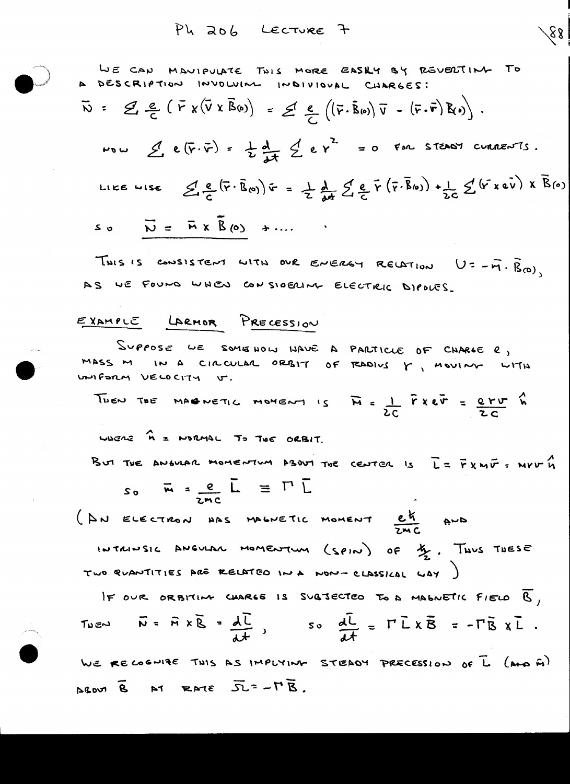WE CAN MAVIPULATE THIS MORE EASILY BY REVERTING TO A DESCRIPTION INVOLUING INDIVIOUAL CUARGES:  $\vec{v}$  =  $\mathcal{L} \triangleq (\vec{r} \times (\vec{v} \times \vec{B}\omega)) = \mathcal{L} \triangleq ((\vec{r} \cdot \vec{B}\omega)) \vec{v} - (\vec{r} \cdot \vec{r}) B\omega).$ 

 $P_0 \omega$   $\leq e(\bar{r}\cdot\bar{r}) = \frac{1}{2} \frac{d}{dt} \leq e r^2 = 0$  For STEADY CURRENTS.

\n Like wise: 
$$
\sum_{C} \frac{e}{c} (\vec{r} \cdot \vec{B}_{\omega}) \cdot \vec{r} = \frac{1}{2} \frac{d}{d\tau} \sum_{C} \frac{e}{c} \vec{r} (\vec{r} \cdot \vec{B}_{\omega}) + \frac{1}{2c} \sum_{C} (r \cdot \vec{r} \cdot \vec{a}) \times B(\omega)
$$
\n

\n\n So:  $\vec{D} = \vec{n} \times \vec{B}(\omega) + \cdots$ \n

THIS IS CONSISTENT WITH OUR ENERGY RELATION U= - M. BOO) AS WE FOUND WHEN CONSIDERING ELECTRIC DIPODES.

## EXAMPLE LARMOR PRECESSION

SUPPOSE WE SOME NOW WAVE A PARTICLE OF CHARGE 2, MASS M IN A CIRCULAR ORBIT OF RADIUS Y, MOVING WITH UNIFORM VELOCITY U.

THEN THE MANDNETIC MOMENT IS  $\overline{M} = \frac{1}{2C} \overline{r} \times e^{\overline{r}} = \frac{Q \Gamma \Gamma}{2C} \overline{h}$ 

WERE A 2 NORMAL TO THE ORBIT.

BUT THE ANGULAR MOMENTUM ABOUT THE CENTER IS  $\overline{L} = \overline{r} \times m\overline{w}$  = MYV  $\overline{w}$ 

$$
s_0 \quad \bar{m} = \underbrace{e}_{\bar{z}mc} \bar{L} \equiv \Gamma \bar{L}
$$

( AN ELECTRON ARS MAGNETIC MOMENT et AND

INTRINSIC ANGULAR MOMENTUM (SPIN) OF  $\frac{1}{2}$ . THUS THESE TWO QUANTITIES ARE RELATED IN A NON-CLASSICAL WAY

IF OUR ORBITING CHARGE IS SUBJECTED TO A MAGNETIC FIELD  $\overline{B}$ , Then  $\overrightarrow{n} = \overrightarrow{n} \times \overrightarrow{R} = \frac{d\overrightarrow{L}}{dt}$ , so  $\frac{d\overrightarrow{L}}{dt} = \overrightarrow{\Gamma} \overrightarrow{L} \times \overrightarrow{B} = -\overrightarrow{\Gamma} \overrightarrow{R} \times \overrightarrow{L}$ . WE RECOGNIZE TWIS AS IMPLYING STEADY PRECESSION OF L (AGO F)

AGOVI  $\overline{B}$  AT RATE  $\overline{SL} = -\overline{MB}$ .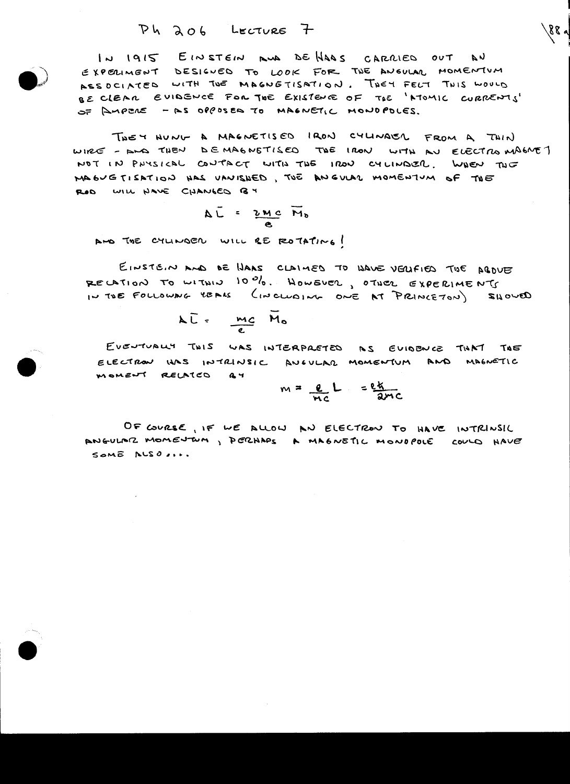IN 1915 EINSTEIN NU DE HAAS CARRIED OUT  $M$ EXPERIMENT DESIGNED TO LOOK FOR THE ANGULAR MOMENTUM ASSOCIATED WITH TWE MAGNETISATION. THEY FELT THIS WOULD BE CLEAR EVIDENCE FOR THE EXISTENCE OF THE 'ATOMIC CURRENTS' OF AMPERE - AS OPPOSED TO MAGNETIC MONOPOLES.

88 a

THEY HUNG A MAGNETISED IRON CYLINDER FROM A THIN WIRE - AM THEN DEMAGNETISED THE IRON WITH AN ELECTROMAGNET NOT IN PHYSICAL CONTACT WITH THE IRON CYLINDER. WHEN THE MAGUETISATION HAS UNUISHED, TUE ANGULAR MOMENTUM OF THE ROD WILL HAVE CHANGED BY

$$
\Delta L = \frac{2MC}{e} \overline{M_0}
$$

AND THE CYLINDER WILL RE ROTATING!

EINSTEIN AND DE HAAS CLAIMED TO HAVE VELIFIED TOE ARDVE RECATION TO WITHIN 10%. HOWEVER, OTHER EXPERIMENTS IN TOE FOLLOWING VEALS (INCLUDING ONE AT PRINCETON) SHOWED

$$
\overline{AC} = \frac{mc}{e} \overline{M}_{0}
$$

EVENTUALLY TWIS WAS INTERPACTED AS EVIDENCE TINT THE ELECTRON UNS INTRINSIC ANSULAR MOMENTUM AND MASNETIC MOMENT RELATED BY

$$
m = \frac{e}{mc} L = \frac{ek}{arc}
$$

OF COURSE, IF WE ALLOW AN ELECTRON TO HAVE INTRINSIL ANGULAR MOMENTUM, PERHAPS A MAGNETIC MONDPOLE COULD HAVE SOME ALSO ....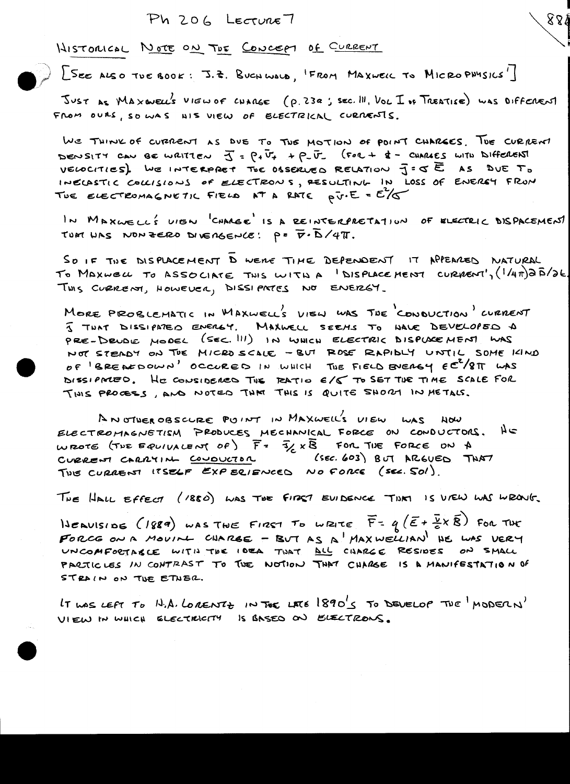HISTORICAL MOTE ON TUE CONCEPT OF CURRENT

 $\int$  SEE ALSO TUE BOOK: J.Z. BUCH WALD, FROM MAXWELL TO MICROPHYSICS

JUST AS MAXWELL'S VIEW OF CHARGE (P. 239 ; SEC. III, VOL I OF TREATISE) WAS DIFFERENT FROM OURS, SO WAS HIS VIEW OF ELECTRICAL CURRENTS.

881

WE THINK OF CURRENT AS DUE TO THE MOTION OF POINT CHARGES. THE CURRENT DENSITY CAN BE WRITTEN J = P+U+ + P-U- (FOR + 2 - CHARGES WITH DIFFERENT VELOCITIES). WE INTERPRET TOE OSSERVED RELATION  $\vec{\mathcal{A}}$  =  $\vec{\mathcal{A}}$  E AS DUE TO INECASTIC COLLISIONS OF ELECTRONS, RESULTING IN LOSS OF ENERGY FROM THE ELECTROMAGNETIC FIELD AT A RATE  $p\bar{v}\cdot E = E'$ 

IN MAXWELL'S VIEN CHARGE IS A REINTERPRETATION OF ELECTRIC DISPACEMENT TUM URS NONZERO DIVERGENCE! P=  $\overline{v}\cdot\overline{D}/4\pi$ .

SO IF THE DISPLACEMENT D WERE TIME DEPENDENT IT APPEARED NATURAL To MAXWELL TO ASSOCIATE THIS WITH A 1 DISPLACE MENT CURRENT', (1/4T) 3 B/26 TWS CURRENT, HOWEVER, DISSIPATES NO ENERGY.

MORE PROBLEMATIC IN MAXWELL'S VIEW WAS THE CONDUCTION CURRENT J THAT DISSIPATED ENERGY. MAXWELL SEEMS TO HAVE DEVELOPED A PRE-DRUDE MODEL (SEC. !!) IN WHICH ELECTRIC DISPUSEMENT WAS NOT STEADY ON THE MICRO SCALE - BUT ROSE RAPIDLY UNTIL SOME KIND OF BREAZOOWN' OCCURED IN WHICH THE FIELD EVERGY ECT/8TT WAS DISSIPALED. He CONSIDERED THE RATIO E/6 TO SET THE TIME SCALE FOR THIS PROCESS, AND NOTED THAT THIS IS QUITE SHORT IN METALS.

ANOTHEROBSCURE POINT IN MAXWELL'S VIEW WAS  $A<sub>0</sub>$ ELECTROMAGNETISM PRODUCES MECHANICAL FORCE ON CONDUCTORS. HE WROTE (THE EQUIVALENT OF)  $\overline{F}$ =  $\overline{3}/6 \times \overline{8}$  FOR THE FORCE ON A (SEC. 603) BUT ARGUED THAT CURRENT CARRYING COUDUCTOR THE CURRENT ITSELF EXPERIENCED NO FORCE (SEC. SOI).

THE HALL EFFECT (1880) WAS THE FIRST EVIDENCE TINT IS VIEW WAS WRONG.

HEAVISIDE (1889) WAS THE FIRST TO WRITE  $\overline{F}$ =  $q(\overline{E} + \frac{\overline{v}}{2} \times \overline{B})$  for the FIRST NE WAS VERY UNCOMFORTABLE WITH THE IDEA THAT ALL CHARGE RESIDES ON SMALL PARTICLES IN CONTRAST TO THE NOTION THAT CHARGE IS A MANIFESTATION OF STRAIN ON THE ETHER.

IT WAS LEFT TO H.A. LORENTZ IN THE LATE  $1890'_{5}$  TO DEVELOP TUE MODERN' VIEW IN WHICH ELECTRICITY IS BASED ON ELECTRONS.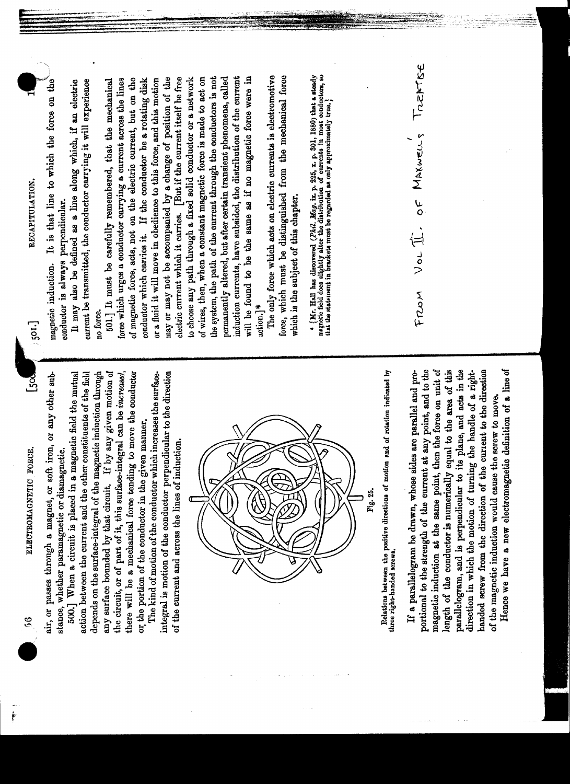ELECTROMAGNETIC FORCE.

 $\frac{6}{5}$ 

 $[501]$ 

air, or passes through a magnet, or soft iron, or any other substance, whether paramagnetic or diamagnetic.

depends on the surface-integral of the magnetic induction through any surface bounded by that circuit. If by any given motion of there will be a mechanical force tending to move the conductor 500.] When a circuit is placed in a magnetic field the mutual action between the current and the other constituents of the field the circuit, or of part of it, this surface-integral can be increased, or the portion of the conductor in the given manner.

integral is motion of the conductor perpendicular to the direction The kind of motion of the conductor which increases the surfaceof the current and across the lines of induction.



Relations between the positive directions of motion and of rotation indicated by three right-handed screws.

portional to the strength of the current at any point, and to the magnetic induction at the same point, then the force on unit of length of the conductor is numerically equal to the area of this parallelogram, and is perpendicular to its plane, and acts in the direction in which the motion of turning the handle of a righthanded screw from the direction of the current to the direction If a parallelogram be drawn, whose sides are parallel and proof the magnetic induction would cause the screw to move.

Hence we have a new electromagnetic definition of a line of

RECAPITULATION.

magnetic induction. It is that line to which the force on the conductor is always perpendicular.

current be transmitted, the conductor carrying it will experience It may also be defined as a line along which, if an electric no force.

may or may not be accompanied by a change of position of the electric current which it carries. [But if the current itself be free of wires, then, when a constant magnetic force is made to act on the system, the path of the current through the conductors is not induction currents, have subsided, the distribution of the current will be found to be the same as if no magnetic force were in force which urges a conductor carrying a current across the lines of magnetic force, acts, not on the electric current, but on the conductor which carries it. If the conductor be a rotating disk or a fluid it will move in obedience to this force, and this motion to choose any path through a fixed solid conductor or a network permanently altered, but after certain transient phenomena, called 501.] It must be carefully remembered, that the mechanical action.<sup>1\*</sup>

The only force which acts on electric currents is electromotive force, which must be distinguished from the mechanical force which is the subject of this chapter.  $*$  {Mr. Hall has discovered  $\langle Pbil$ .  $Mag$ , ix, p. 225, x, p. 301, 1880) that a steady magnetic field does alightly alter the distribution of currents in most conductors, so that the statement in brackets must be regarded

OF MAXWELLS TREATEE Vol<br>J Fron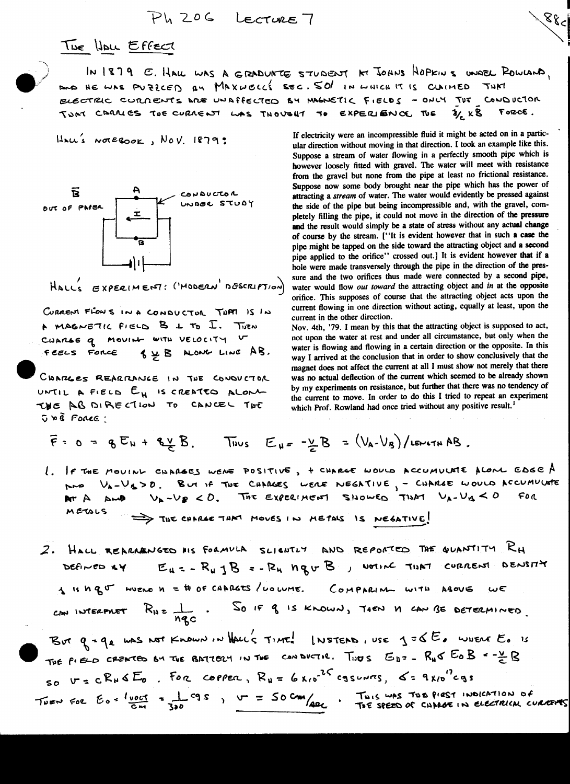The HOLL Effect

IN 1879 C. HALL WAS A GRADUATE STUDENT AT JOHNS HOPKINS UNDEL ROWLAND, AND HE WAS PUZZLED BY MAXWELL'S SEC. SO IN WHICH IT IS CLAIMED THAT ELECTRIC CURRENTS ARE UNAFFECTED BY MAGNETIC FIELDS - ONLY THE CONDUCTOR TUNT CARRIES TOE CURRENT WAS THOUGHT TO EXPERIENCE TUE 3/ XB FORCE.

HALL'S NOTEROOK, NOV. 1879:



HALL'S EXPERIMENT: ('MODERN' DESCRIPTION)

CURRENT FLOWS IN A CONDUCTOR TUPTI IS IN A MAGNETIC FIELD B 1 To I. TUEN CUARGE & MOVING WITH VELOCITY U FEELS FORCE & Y B ALONG LINE AB.

CHARGES REARRANCE IN THE CONOVCTOR UNTIL A FIELD EN IS CREATED ALONA THE AB DIRECTION TO CANCEL THE  $58B$  FORCE.

If electricity were an incompressible fluid it might be acted on in a particular direction without moving in that direction. I took an example like this. Suppose a stream of water flowing in a perfectly smooth pipe which is however loosely fitted with gravel. The water will meet with resistance from the gravel but none from the pipe at least no frictional resistance. Suppose now some body brought near the pipe which has the power of attracting a stream of water. The water would evidently be pressed against the side of the pipe but being incompressible and, with the gravel, completely filling the pipe, it could not move in the direction of the pressure and the result would simply be a state of stress without any actual change of course by the stream. ["It is evident however that in such a case the pipe might be tapped on the side toward the attracting object and a second pipe applied to the orifice" crossed out.] It is evident however that if a hole were made transversely through the pipe in the direction of the pressure and the two orifices thus made were connected by a second pipe, water would flow out toward the attracting object and in at the opposite orifice. This supposes of course that the attracting object acts upon the current flowing in one direction without acting, equally at least, upon the current in the other direction.

 $88<$ 

Nov. 4th, '79. I mean by this that the attracting object is supposed to act, not upon the water at rest and under all circumstance, but only when the water is flowing and flowing in a certain direction or the opposite. In this way I arrived at the conclusion that in order to show conclusively that the magnet does not affect the current at all I must show not merely that there was no actual deflection of the current which seemed to be already shown by my experiments on resistance, but further that there was no tendency of the current to move. In order to do this I tried to repeat an experiment which Prof. Rowland had once tried without any positive result.

 $\overline{F}$  = 0 =  $gE_{H} + g\psi B$ . THUS  $E_{H} = -\psi B = (\nu_{A}-\nu_{B})/E$   $\nu$ -TH AB.

- $l$ . If THE MOUING CHARGES WENE POSITIVE, + CHARGE WOULD ACCUMULATE ALOME EDGE A AND VA-VEDD. BUT IF THE CHARGES WERE NEGATIVE, - CHARGE WOULD ACCUMULATE METALS THE CHARGE THAT MOVES IN METALS IS NEGATIVE!
- 2. HACL REARABINGED MIS FORMULA SLIGHTLY AND REPORTED THE QUANTITY RH  $E_{\mu}$ = -  $R_{\mu}$   $1B$  = -  $R_{\mu}$   $nq$   $v$   $B$  , vorth  $C$   $nq$   $nq$   $nq$   $nq$   $nq$   $nq$ DEFINED BY 1 IS N q U WUELD N = # OF CAARGES/ VOLUME. COMPARING WITH ABOVE WE CAN INTERPRET  $R_{13} = \frac{1}{192}$ . So IF q is KNOWN, THEN IN CAN BE DETERMINED. Bur q = qe was not Known in Hall's TIME! INSTEAD, USE J = 6 E. WHERE E. Is THE FIELD CREATED BY THE BATTERY IN THE CONDUCTIE, THES EIN = RIS EOB = - V B so  $v = cR_H \le E_0$ . For correr,  $R_H = 6 \times i^{2C}$  casuvers,  $\le a \times i^{2C}$ cas
- THEN FOR  $E_0 = \frac{I_{vort}}{C_{m}} = \frac{1}{300}C9S$ ,  $V = 50$  cm/sec. THIS WAS THE PIRST INDICATION OF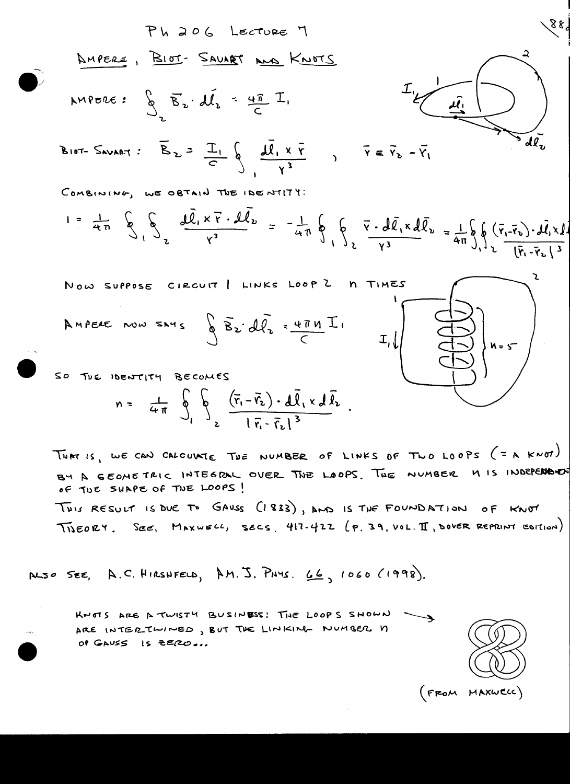

THAT IS, WE CAN CALCULATE THE NUMBER OF LINKS OF TWO LOOPS (= A KNOT) BY A GEOME TRIC INTEGRAL OVER THE LOOPS. THE NUMBER MIS INDEPENDED OF TUE SHAPE OF THE LOOPS!

THIS RESULT IS DUE TO GAUSS (1833), AMD IS THE FOUNDATION OF KNOT TISEORY. SEE, MAXWELL, SECS. 417-422 (P. 39, VOL. II, DOVER REPRINT EDITION)

ALSO SEE, A.C. HIRSHFELD, AM. J. PHYS. 66, 1060 (1998).

KNOTS ARE A TWISTY BUSINESS! THE LOOPS SHOWN ARE INTERTWINED, BUT THE LINKING NUMBER M OP GAUSS IS ZERO...

![](_page_19_Picture_5.jpeg)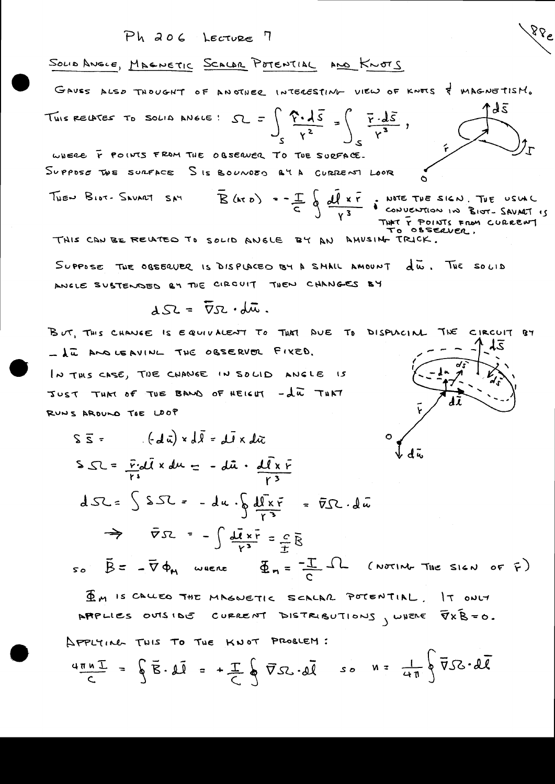SOLID ANGLE, MAGNETIC SCALAR POTENTIAL AND KNOTS

GAVES ALSO THOUGHT OF ANOTHER INTERESTING VIEW OF KNOTS & MAGNETISM. てん个 THIS RELATES TO SOLID ANGLE:  $SL = \int_{\sqrt{2}} \frac{\hat{r} \cdot \hat{dS}}{r^2} = \int_{\sqrt{2}} \frac{\vec{r} \cdot d\vec{S}}{r^3}$ 

 $88<sub>e</sub>$ 

WHERE F POINTS FROM THE OBSERVER TO THE SURFACE. SUPPOSE THE SURFACE SIS BOUNDED BY A CURRENT LOOR

 $\overline{B}(kt\sigma) = -\frac{1}{C}\oint d\overline{l} \times \overline{r}$  . NOTE THE SIGN. THE USUAL IS THEY BIOT- SAVART SAY THAT F POINTS FROM CURRENT OSSERVER. ٣٥

THIS CAN BE RELATED TO SOLID ANGLE BY AN AMUSING TRICK. SUPPOSE THE OBSEQUER IS DISPIDEED BY A SMAIL AMOUNT dw. THE SOLID ANGLE SUSTENDED BY THE CIRCUIT THEN CHANGES BY

$$
\Delta S2 = \overline{\nabla}S2 \cdot d\overline{w}.
$$

BUT THIS CHANGE IS EQUIVALENT TO THAT DUE TO DISPLACIAL THE CIRCUIT BY LŠ - LE AND LEAVINL THE OBSERVER FIXED. IN THIS CASE, THE CHANGE IN SOLID ANGLE IS JUST THAT OF THE BAMD OF HEIGHT - LU THAT RUNS AROUND TOE LOOP

$$
S\overline{s} = (-d\overline{u}) \times d\overline{\overline{l}} = d\overline{l} \times d\overline{u}
$$
  
\n
$$
S\overline{s} = \frac{\overline{r} \cdot d\overline{l} \times d\overline{u}}{r \cdot s} = -d\overline{u} \cdot \frac{d\overline{l} \times \overline{r}}{r \cdot s}
$$
  
\n
$$
dS\overline{s} = \frac{\overline{r} \cdot d\overline{l} \times d\overline{u}}{r \cdot s} = -d\overline{u} \cdot \frac{\overline{d} \overline{l} \times \overline{r}}{r \cdot s} = \overline{v}S \cdot d\overline{u}
$$
  
\n
$$
\Rightarrow \overline{v}S\overline{s} = -\int \frac{d\overline{l} \times \overline{r}}{r \cdot s} = \frac{c}{\overline{L}} \overline{B}
$$
  
\nSo  $\overline{B} = -\overline{v} \phi_{M}$  where  $\overline{\Phi}_{M} = -\frac{T}{c} \Omega$  (norm. The size of  $\overline{r}$ )

I'M IS CALLED THE MAGNETIC SCALAR POTENTIAL, IT ONLY APPLIES OUTSINE CURRENT DISTRIBUTIONS, WHERE  $\bar{\nabla}X\bar{B}=0$ . APPLYING THIS TO THE KNOT PROBLEM:

$$
\frac{4\pi n \mathcal{I}}{c} = \oint \overline{B} \cdot d\overline{l} = + \frac{\mathcal{I}}{c} \oint \overline{\nabla} S \cdot d\overline{l} \quad so \quad n = \frac{1}{4\pi} \oint \overline{\nabla} S \cdot d\overline{l}
$$